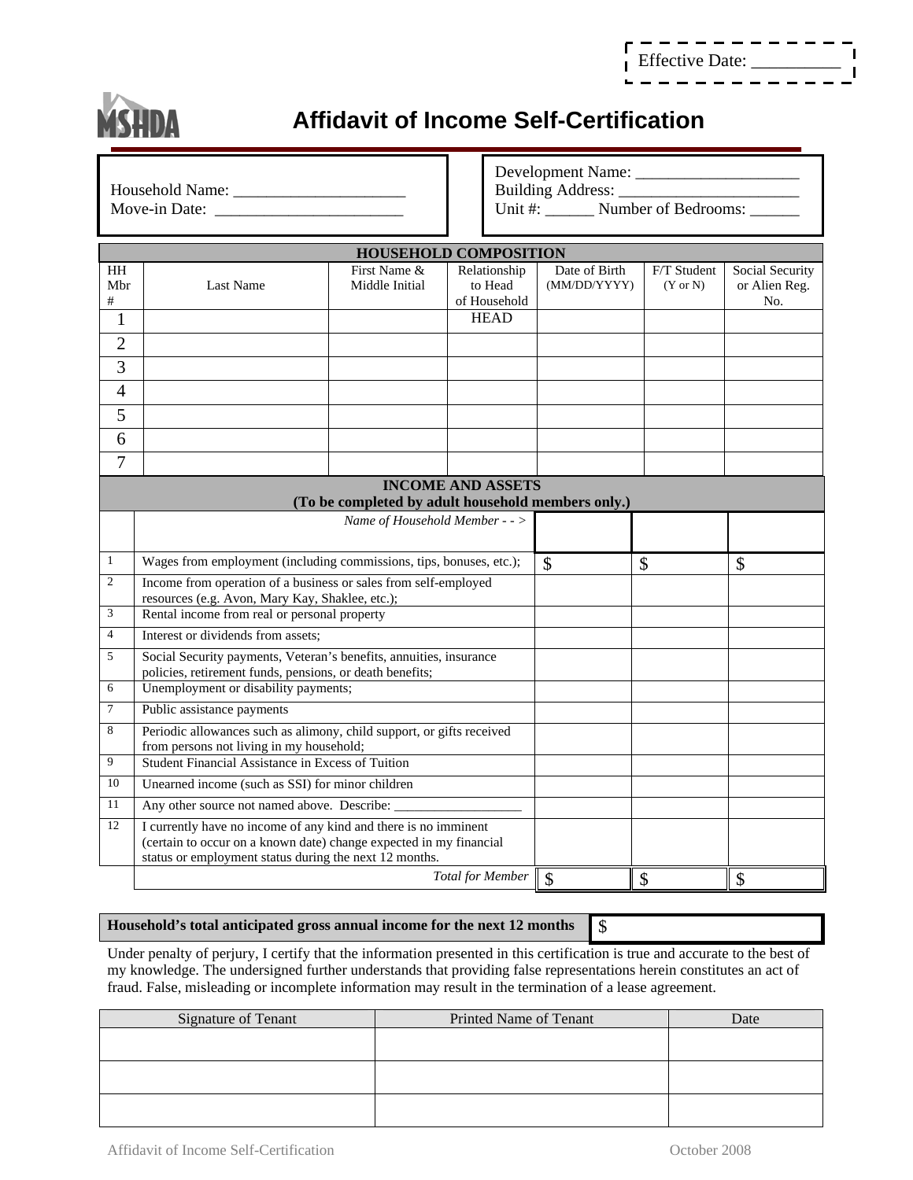| _ _ _ _ _ _ _ _ _ _ _ _ _ |  |  |  |  |  |  |
|---------------------------|--|--|--|--|--|--|
|                           |  |  |  |  |  |  |
| Effective Date:           |  |  |  |  |  |  |
|                           |  |  |  |  |  |  |



## **Affidavit of Income Self-Certification**

| Household Name: | Building Address:              |
|-----------------|--------------------------------|
| Move-in Date:   | Number of Bedrooms:<br>Jnit #: |

Developmen t Name: \_\_\_\_\_\_\_\_\_\_\_\_\_\_\_\_\_\_\_\_

| <b>HOUSEHOLD COMPOSITION</b>                                                   |                                                                                                                                                                                                 |                                           |              |               |                     |                      |  |  |  |
|--------------------------------------------------------------------------------|-------------------------------------------------------------------------------------------------------------------------------------------------------------------------------------------------|-------------------------------------------|--------------|---------------|---------------------|----------------------|--|--|--|
| <b>HH</b>                                                                      |                                                                                                                                                                                                 | First Name &                              | Relationship | Date of Birth | F/T Student         | Social Security      |  |  |  |
| Mbr<br>#                                                                       | Last Name                                                                                                                                                                                       | Middle Initial<br>to Head<br>of Household |              | (MM/DD/YYYY)  | $(Y \text{ or } N)$ | or Alien Reg.<br>No. |  |  |  |
| 1                                                                              |                                                                                                                                                                                                 |                                           | <b>HEAD</b>  |               |                     |                      |  |  |  |
| $\overline{2}$                                                                 |                                                                                                                                                                                                 |                                           |              |               |                     |                      |  |  |  |
| 3                                                                              |                                                                                                                                                                                                 |                                           |              |               |                     |                      |  |  |  |
| $\overline{4}$                                                                 |                                                                                                                                                                                                 |                                           |              |               |                     |                      |  |  |  |
| 5                                                                              |                                                                                                                                                                                                 |                                           |              |               |                     |                      |  |  |  |
| 6                                                                              |                                                                                                                                                                                                 |                                           |              |               |                     |                      |  |  |  |
| 7                                                                              |                                                                                                                                                                                                 |                                           |              |               |                     |                      |  |  |  |
| <b>INCOME AND ASSETS</b><br>(To be completed by adult household members only.) |                                                                                                                                                                                                 |                                           |              |               |                     |                      |  |  |  |
|                                                                                |                                                                                                                                                                                                 |                                           |              |               |                     |                      |  |  |  |
|                                                                                |                                                                                                                                                                                                 |                                           |              |               |                     |                      |  |  |  |
| $\mathbf{1}$                                                                   | Wages from employment (including commissions, tips, bonuses, etc.);                                                                                                                             | \$                                        | \$           | \$            |                     |                      |  |  |  |
| $\overline{2}$                                                                 | Income from operation of a business or sales from self-employed<br>resources (e.g. Avon, Mary Kay, Shaklee, etc.);                                                                              |                                           |              |               |                     |                      |  |  |  |
| 3                                                                              | Rental income from real or personal property                                                                                                                                                    |                                           |              |               |                     |                      |  |  |  |
| $\overline{4}$                                                                 | Interest or dividends from assets;                                                                                                                                                              |                                           |              |               |                     |                      |  |  |  |
| 5                                                                              | Social Security payments, Veteran's benefits, annuities, insurance                                                                                                                              |                                           |              |               |                     |                      |  |  |  |
| 6                                                                              | policies, retirement funds, pensions, or death benefits;<br>Unemployment or disability payments;                                                                                                |                                           |              |               |                     |                      |  |  |  |
| 7                                                                              | Public assistance payments                                                                                                                                                                      |                                           |              |               |                     |                      |  |  |  |
| 8                                                                              | Periodic allowances such as alimony, child support, or gifts received                                                                                                                           |                                           |              |               |                     |                      |  |  |  |
|                                                                                | from persons not living in my household;                                                                                                                                                        |                                           |              |               |                     |                      |  |  |  |
| 9                                                                              | Student Financial Assistance in Excess of Tuition                                                                                                                                               |                                           |              |               |                     |                      |  |  |  |
| 10                                                                             | Unearned income (such as SSI) for minor children                                                                                                                                                |                                           |              |               |                     |                      |  |  |  |
| 11                                                                             | Any other source not named above. Describe:                                                                                                                                                     |                                           |              |               |                     |                      |  |  |  |
| 12                                                                             | I currently have no income of any kind and there is no imminent<br>(certain to occur on a known date) change expected in my financial<br>status or employment status during the next 12 months. |                                           |              |               |                     |                      |  |  |  |
|                                                                                | <b>Total for Member</b>                                                                                                                                                                         |                                           |              | \$            | \$                  | \$                   |  |  |  |

## **Household's total anticipated gross annual income for the next 12 months**  $\S$

Under penalty of perjury, I certify that the information presented in this certification is true and accurate to the best of my knowledge. The undersigned further understands that providing false representations herein constitutes an act of fraud. False, misleading or incomplete information may result in the termination of a lease agreement.

| <b>Signature of Tenant</b> | Printed Name of Tenant | Date |
|----------------------------|------------------------|------|
|                            |                        |      |
|                            |                        |      |
|                            |                        |      |
|                            |                        |      |
|                            |                        |      |
|                            |                        |      |